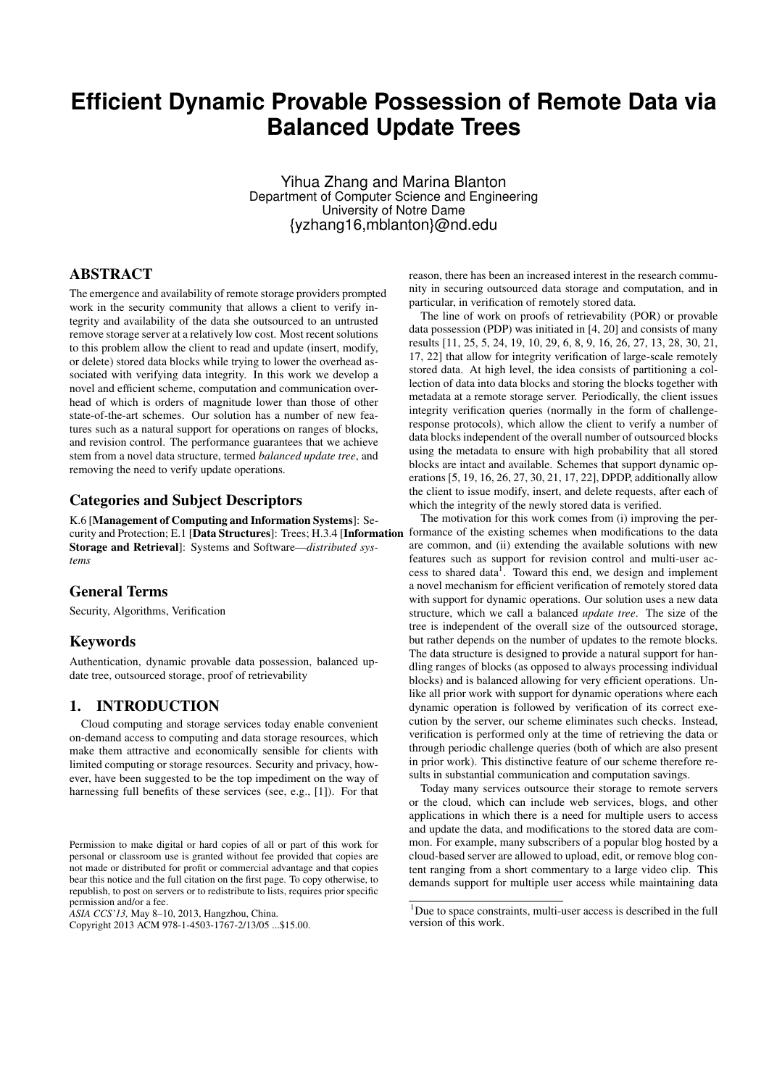# **Efficient Dynamic Provable Possession of Remote Data via Balanced Update Trees**

Yihua Zhang and Marina Blanton Department of Computer Science and Engineering University of Notre Dame {yzhang16,mblanton}@nd.edu

# ABSTRACT

The emergence and availability of remote storage providers prompted work in the security community that allows a client to verify integrity and availability of the data she outsourced to an untrusted remove storage server at a relatively low cost. Most recent solutions to this problem allow the client to read and update (insert, modify, or delete) stored data blocks while trying to lower the overhead associated with verifying data integrity. In this work we develop a novel and efficient scheme, computation and communication overhead of which is orders of magnitude lower than those of other state-of-the-art schemes. Our solution has a number of new features such as a natural support for operations on ranges of blocks, and revision control. The performance guarantees that we achieve stem from a novel data structure, termed *balanced update tree*, and removing the need to verify update operations.

## Categories and Subject Descriptors

K.6 [Management of Computing and Information Systems]: Security and Protection; E.1 [Data Structures]: Trees; H.3.4 [Information formance of the existing schemes when modifications to the data Storage and Retrieval]: Systems and Software—*distributed systems*

## General Terms

Security, Algorithms, Verification

## Keywords

Authentication, dynamic provable data possession, balanced update tree, outsourced storage, proof of retrievability

## 1. INTRODUCTION

Cloud computing and storage services today enable convenient on-demand access to computing and data storage resources, which make them attractive and economically sensible for clients with limited computing or storage resources. Security and privacy, however, have been suggested to be the top impediment on the way of harnessing full benefits of these services (see, e.g., [1]). For that

*ASIA CCS'13,* May 8–10, 2013, Hangzhou, China.

reason, there has been an increased interest in the research community in securing outsourced data storage and computation, and in particular, in verification of remotely stored data.

The line of work on proofs of retrievability (POR) or provable data possession (PDP) was initiated in [4, 20] and consists of many results [11, 25, 5, 24, 19, 10, 29, 6, 8, 9, 16, 26, 27, 13, 28, 30, 21, 17, 22] that allow for integrity verification of large-scale remotely stored data. At high level, the idea consists of partitioning a collection of data into data blocks and storing the blocks together with metadata at a remote storage server. Periodically, the client issues integrity verification queries (normally in the form of challengeresponse protocols), which allow the client to verify a number of data blocks independent of the overall number of outsourced blocks using the metadata to ensure with high probability that all stored blocks are intact and available. Schemes that support dynamic operations [5, 19, 16, 26, 27, 30, 21, 17, 22], DPDP, additionally allow the client to issue modify, insert, and delete requests, after each of which the integrity of the newly stored data is verified.

The motivation for this work comes from (i) improving the perare common, and (ii) extending the available solutions with new features such as support for revision control and multi-user access to shared data<sup>1</sup>. Toward this end, we design and implement a novel mechanism for efficient verification of remotely stored data with support for dynamic operations. Our solution uses a new data structure, which we call a balanced *update tree*. The size of the tree is independent of the overall size of the outsourced storage, but rather depends on the number of updates to the remote blocks. The data structure is designed to provide a natural support for handling ranges of blocks (as opposed to always processing individual blocks) and is balanced allowing for very efficient operations. Unlike all prior work with support for dynamic operations where each dynamic operation is followed by verification of its correct execution by the server, our scheme eliminates such checks. Instead, verification is performed only at the time of retrieving the data or through periodic challenge queries (both of which are also present in prior work). This distinctive feature of our scheme therefore results in substantial communication and computation savings.

Today many services outsource their storage to remote servers or the cloud, which can include web services, blogs, and other applications in which there is a need for multiple users to access and update the data, and modifications to the stored data are common. For example, many subscribers of a popular blog hosted by a cloud-based server are allowed to upload, edit, or remove blog content ranging from a short commentary to a large video clip. This demands support for multiple user access while maintaining data

Permission to make digital or hard copies of all or part of this work for personal or classroom use is granted without fee provided that copies are not made or distributed for profit or commercial advantage and that copies bear this notice and the full citation on the first page. To copy otherwise, to republish, to post on servers or to redistribute to lists, requires prior specific permission and/or a fee.

Copyright 2013 ACM 978-1-4503-1767-2/13/05 ...\$15.00.

<sup>&</sup>lt;sup>1</sup>Due to space constraints, multi-user access is described in the full version of this work.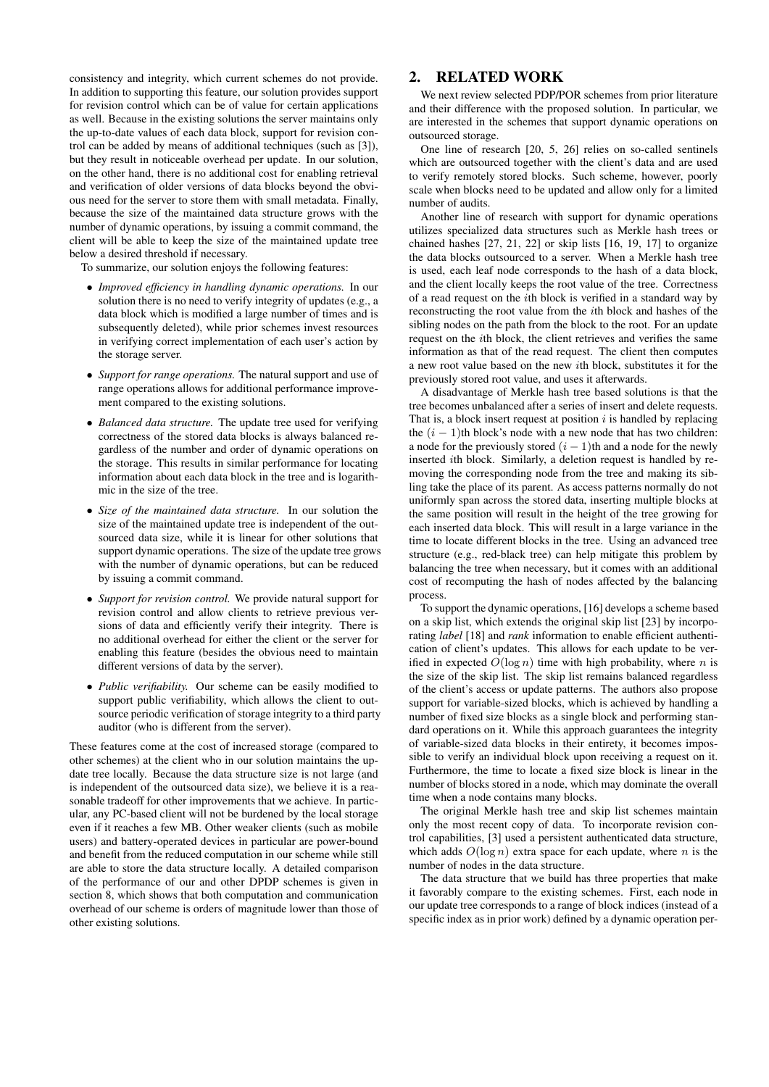consistency and integrity, which current schemes do not provide. In addition to supporting this feature, our solution provides support for revision control which can be of value for certain applications as well. Because in the existing solutions the server maintains only the up-to-date values of each data block, support for revision control can be added by means of additional techniques (such as [3]), but they result in noticeable overhead per update. In our solution, on the other hand, there is no additional cost for enabling retrieval and verification of older versions of data blocks beyond the obvious need for the server to store them with small metadata. Finally, because the size of the maintained data structure grows with the number of dynamic operations, by issuing a commit command, the client will be able to keep the size of the maintained update tree below a desired threshold if necessary.

To summarize, our solution enjoys the following features:

- *Improved efficiency in handling dynamic operations.* In our solution there is no need to verify integrity of updates (e.g., a data block which is modified a large number of times and is subsequently deleted), while prior schemes invest resources in verifying correct implementation of each user's action by the storage server.
- *Support for range operations.* The natural support and use of range operations allows for additional performance improvement compared to the existing solutions.
- *Balanced data structure.* The update tree used for verifying correctness of the stored data blocks is always balanced regardless of the number and order of dynamic operations on the storage. This results in similar performance for locating information about each data block in the tree and is logarithmic in the size of the tree.
- *Size of the maintained data structure.* In our solution the size of the maintained update tree is independent of the outsourced data size, while it is linear for other solutions that support dynamic operations. The size of the update tree grows with the number of dynamic operations, but can be reduced by issuing a commit command.
- *Support for revision control.* We provide natural support for revision control and allow clients to retrieve previous versions of data and efficiently verify their integrity. There is no additional overhead for either the client or the server for enabling this feature (besides the obvious need to maintain different versions of data by the server).
- *Public verifiability.* Our scheme can be easily modified to support public verifiability, which allows the client to outsource periodic verification of storage integrity to a third party auditor (who is different from the server).

These features come at the cost of increased storage (compared to other schemes) at the client who in our solution maintains the update tree locally. Because the data structure size is not large (and is independent of the outsourced data size), we believe it is a reasonable tradeoff for other improvements that we achieve. In particular, any PC-based client will not be burdened by the local storage even if it reaches a few MB. Other weaker clients (such as mobile users) and battery-operated devices in particular are power-bound and benefit from the reduced computation in our scheme while still are able to store the data structure locally. A detailed comparison of the performance of our and other DPDP schemes is given in section 8, which shows that both computation and communication overhead of our scheme is orders of magnitude lower than those of other existing solutions.

# 2. RELATED WORK

We next review selected PDP/POR schemes from prior literature and their difference with the proposed solution. In particular, we are interested in the schemes that support dynamic operations on outsourced storage.

One line of research [20, 5, 26] relies on so-called sentinels which are outsourced together with the client's data and are used to verify remotely stored blocks. Such scheme, however, poorly scale when blocks need to be updated and allow only for a limited number of audits.

Another line of research with support for dynamic operations utilizes specialized data structures such as Merkle hash trees or chained hashes [27, 21, 22] or skip lists [16, 19, 17] to organize the data blocks outsourced to a server. When a Merkle hash tree is used, each leaf node corresponds to the hash of a data block, and the client locally keeps the root value of the tree. Correctness of a read request on the ith block is verified in a standard way by reconstructing the root value from the ith block and hashes of the sibling nodes on the path from the block to the root. For an update request on the ith block, the client retrieves and verifies the same information as that of the read request. The client then computes a new root value based on the new ith block, substitutes it for the previously stored root value, and uses it afterwards.

A disadvantage of Merkle hash tree based solutions is that the tree becomes unbalanced after a series of insert and delete requests. That is, a block insert request at position  $i$  is handled by replacing the  $(i - 1)$ th block's node with a new node that has two children: a node for the previously stored  $(i - 1)$ th and a node for the newly inserted ith block. Similarly, a deletion request is handled by removing the corresponding node from the tree and making its sibling take the place of its parent. As access patterns normally do not uniformly span across the stored data, inserting multiple blocks at the same position will result in the height of the tree growing for each inserted data block. This will result in a large variance in the time to locate different blocks in the tree. Using an advanced tree structure (e.g., red-black tree) can help mitigate this problem by balancing the tree when necessary, but it comes with an additional cost of recomputing the hash of nodes affected by the balancing process.

To support the dynamic operations, [16] develops a scheme based on a skip list, which extends the original skip list [23] by incorporating *label* [18] and *rank* information to enable efficient authentication of client's updates. This allows for each update to be verified in expected  $O(\log n)$  time with high probability, where n is the size of the skip list. The skip list remains balanced regardless of the client's access or update patterns. The authors also propose support for variable-sized blocks, which is achieved by handling a number of fixed size blocks as a single block and performing standard operations on it. While this approach guarantees the integrity of variable-sized data blocks in their entirety, it becomes impossible to verify an individual block upon receiving a request on it. Furthermore, the time to locate a fixed size block is linear in the number of blocks stored in a node, which may dominate the overall time when a node contains many blocks.

The original Merkle hash tree and skip list schemes maintain only the most recent copy of data. To incorporate revision control capabilities, [3] used a persistent authenticated data structure, which adds  $O(\log n)$  extra space for each update, where n is the number of nodes in the data structure.

The data structure that we build has three properties that make it favorably compare to the existing schemes. First, each node in our update tree corresponds to a range of block indices (instead of a specific index as in prior work) defined by a dynamic operation per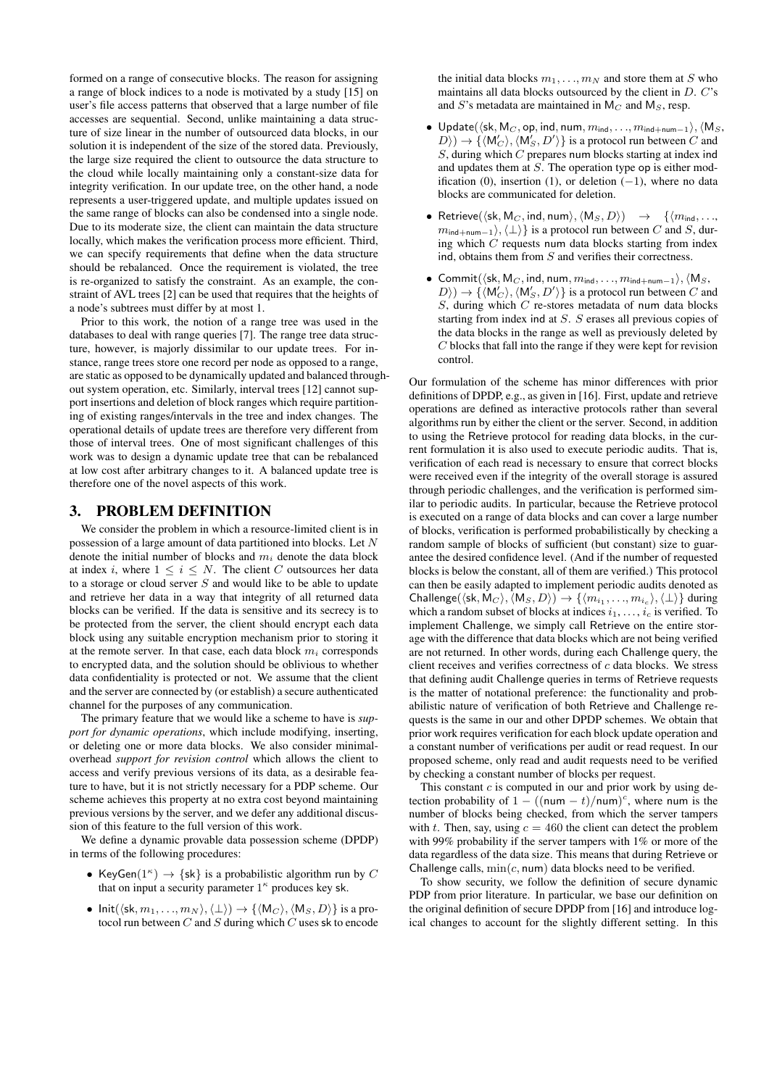formed on a range of consecutive blocks. The reason for assigning a range of block indices to a node is motivated by a study [15] on user's file access patterns that observed that a large number of file accesses are sequential. Second, unlike maintaining a data structure of size linear in the number of outsourced data blocks, in our solution it is independent of the size of the stored data. Previously, the large size required the client to outsource the data structure to the cloud while locally maintaining only a constant-size data for integrity verification. In our update tree, on the other hand, a node represents a user-triggered update, and multiple updates issued on the same range of blocks can also be condensed into a single node. Due to its moderate size, the client can maintain the data structure locally, which makes the verification process more efficient. Third, we can specify requirements that define when the data structure should be rebalanced. Once the requirement is violated, the tree is re-organized to satisfy the constraint. As an example, the constraint of AVL trees [2] can be used that requires that the heights of a node's subtrees must differ by at most 1.

Prior to this work, the notion of a range tree was used in the databases to deal with range queries [7]. The range tree data structure, however, is majorly dissimilar to our update trees. For instance, range trees store one record per node as opposed to a range, are static as opposed to be dynamically updated and balanced throughout system operation, etc. Similarly, interval trees [12] cannot support insertions and deletion of block ranges which require partitioning of existing ranges/intervals in the tree and index changes. The operational details of update trees are therefore very different from those of interval trees. One of most significant challenges of this work was to design a dynamic update tree that can be rebalanced at low cost after arbitrary changes to it. A balanced update tree is therefore one of the novel aspects of this work.

## 3. PROBLEM DEFINITION

We consider the problem in which a resource-limited client is in possession of a large amount of data partitioned into blocks. Let N denote the initial number of blocks and  $m<sub>i</sub>$  denote the data block at index i, where  $1 \leq i \leq N$ . The client C outsources her data to a storage or cloud server  $S$  and would like to be able to update and retrieve her data in a way that integrity of all returned data blocks can be verified. If the data is sensitive and its secrecy is to be protected from the server, the client should encrypt each data block using any suitable encryption mechanism prior to storing it at the remote server. In that case, each data block  $m_i$  corresponds to encrypted data, and the solution should be oblivious to whether data confidentiality is protected or not. We assume that the client and the server are connected by (or establish) a secure authenticated channel for the purposes of any communication.

The primary feature that we would like a scheme to have is *support for dynamic operations*, which include modifying, inserting, or deleting one or more data blocks. We also consider minimaloverhead *support for revision control* which allows the client to access and verify previous versions of its data, as a desirable feature to have, but it is not strictly necessary for a PDP scheme. Our scheme achieves this property at no extra cost beyond maintaining previous versions by the server, and we defer any additional discussion of this feature to the full version of this work.

We define a dynamic provable data possession scheme (DPDP) in terms of the following procedures:

- KeyGen $(1^{\kappa}) \rightarrow \{ \text{sk} \}$  is a probabilistic algorithm run by C that on input a security parameter  $1^{\kappa}$  produces key sk.
- Init( $\langle$ sk,  $m_1, \ldots, m_N \rangle$ ,  $\langle \perp \rangle$ )  $\rightarrow$  { $\langle M_C \rangle$ ,  $\langle M_S, D \rangle$ } is a protocol run between  $C$  and  $S$  during which  $C$  uses sk to encode

the initial data blocks  $m_1, \ldots, m_N$  and store them at S who maintains all data blocks outsourced by the client in D. C's and S's metadata are maintained in  $M_C$  and  $M_S$ , resp.

- Update( $\langle$ sk, M $_C$ , op, ind, num,  $m_{\text{ind}}, \ldots, m_{\text{ind}+\text{num}-1}\rangle$ ,  $\langle$ M $_S$ ,  $|D\rangle$ )  $\rightarrow$  { $\langle M_C' \rangle$ ,  $\langle M_S', D' \rangle$ } is a protocol run between C and S, during which C prepares num blocks starting at index ind and updates them at S. The operation type op is either modification (0), insertion (1), or deletion  $(-1)$ , where no data blocks are communicated for deletion.
- Retrieve( $\langle$ sk, M<sub>C</sub>, ind, num $\rangle$ ,  $\langle M_S, D \rangle$ )  $\rightarrow$  { $\langle m_{ind}, \dots,$  $m_{\text{ind}+\text{num}-1}$ ,  $\langle \perp \rangle$  is a protocol run between C and S, during which  $C$  requests num data blocks starting from index ind, obtains them from S and verifies their correctness.
- Commit( $\langle$ sk, M<sub>C</sub>, ind, num,  $m_{\text{ind}}$ , . . .,  $m_{\text{ind}+\text{num}-1}$ ),  $\langle M_S,$  $|D\rangle$ )  $\rightarrow \{\langle M'_C\rangle, \langle M'_S, D'\rangle\}$  is a protocol run between C and S, during which C re-stores metadata of num data blocks starting from index ind at S. S erases all previous copies of the data blocks in the range as well as previously deleted by C blocks that fall into the range if they were kept for revision control.

Our formulation of the scheme has minor differences with prior definitions of DPDP, e.g., as given in [16]. First, update and retrieve operations are defined as interactive protocols rather than several algorithms run by either the client or the server. Second, in addition to using the Retrieve protocol for reading data blocks, in the current formulation it is also used to execute periodic audits. That is, verification of each read is necessary to ensure that correct blocks were received even if the integrity of the overall storage is assured through periodic challenges, and the verification is performed similar to periodic audits. In particular, because the Retrieve protocol is executed on a range of data blocks and can cover a large number of blocks, verification is performed probabilistically by checking a random sample of blocks of sufficient (but constant) size to guarantee the desired confidence level. (And if the number of requested blocks is below the constant, all of them are verified.) This protocol can then be easily adapted to implement periodic audits denoted as Challenge( $\langle$ sk, M $_C$ ),  $\langle M_S, D \rangle$ )  $\rightarrow$   $\{ \langle m_{i_1}, \ldots, m_{i_c} \rangle, \langle \bot \rangle \}$  during which a random subset of blocks at indices  $i_1, \ldots, i_c$  is verified. To implement Challenge, we simply call Retrieve on the entire storage with the difference that data blocks which are not being verified are not returned. In other words, during each Challenge query, the client receives and verifies correctness of  $c$  data blocks. We stress that defining audit Challenge queries in terms of Retrieve requests is the matter of notational preference: the functionality and probabilistic nature of verification of both Retrieve and Challenge requests is the same in our and other DPDP schemes. We obtain that prior work requires verification for each block update operation and a constant number of verifications per audit or read request. In our proposed scheme, only read and audit requests need to be verified by checking a constant number of blocks per request.

This constant  $c$  is computed in our and prior work by using detection probability of  $1 - ((num - t)/num)^c$ , where num is the number of blocks being checked, from which the server tampers with t. Then, say, using  $c = 460$  the client can detect the problem with 99% probability if the server tampers with 1% or more of the data regardless of the data size. This means that during Retrieve or Challenge calls,  $min(c, num)$  data blocks need to be verified.

To show security, we follow the definition of secure dynamic PDP from prior literature. In particular, we base our definition on the original definition of secure DPDP from [16] and introduce logical changes to account for the slightly different setting. In this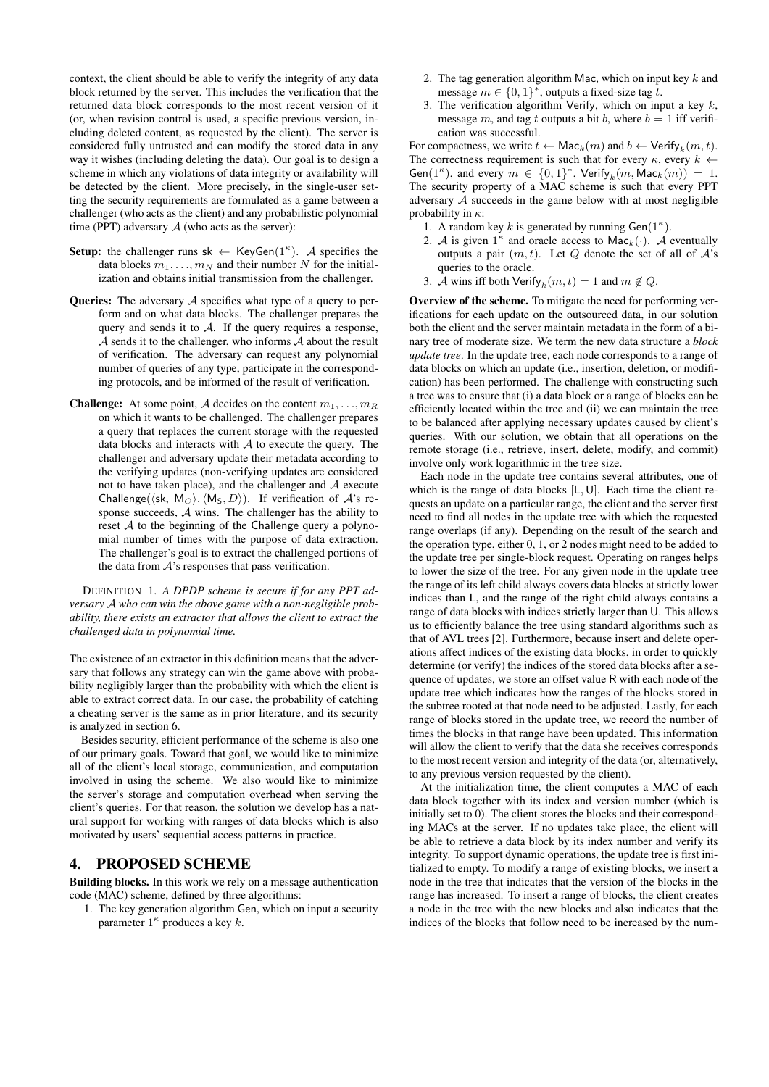context, the client should be able to verify the integrity of any data block returned by the server. This includes the verification that the returned data block corresponds to the most recent version of it (or, when revision control is used, a specific previous version, including deleted content, as requested by the client). The server is considered fully untrusted and can modify the stored data in any way it wishes (including deleting the data). Our goal is to design a scheme in which any violations of data integrity or availability will be detected by the client. More precisely, in the single-user setting the security requirements are formulated as a game between a challenger (who acts as the client) and any probabilistic polynomial time (PPT) adversary  $A$  (who acts as the server):

- **Setup:** the challenger runs sk  $\leftarrow$  KeyGen( $1^{\kappa}$ ). A specifies the data blocks  $m_1, \ldots, m_N$  and their number N for the initialization and obtains initial transmission from the challenger.
- Queries: The adversary A specifies what type of a query to perform and on what data blocks. The challenger prepares the query and sends it to  $A$ . If the query requires a response,  $A$  sends it to the challenger, who informs  $A$  about the result of verification. The adversary can request any polynomial number of queries of any type, participate in the corresponding protocols, and be informed of the result of verification.
- **Challenge:** At some point, A decides on the content  $m_1, \ldots, m_R$ on which it wants to be challenged. The challenger prepares a query that replaces the current storage with the requested data blocks and interacts with  $A$  to execute the query. The challenger and adversary update their metadata according to the verifying updates (non-verifying updates are considered not to have taken place), and the challenger and  $A$  execute Challenge( $\langle$ sk, M<sub>C</sub> $\rangle$ ,  $\langle M_5, D \rangle$ ). If verification of A's response succeeds, A wins. The challenger has the ability to reset  $A$  to the beginning of the Challenge query a polynomial number of times with the purpose of data extraction. The challenger's goal is to extract the challenged portions of the data from A's responses that pass verification.

DEFINITION 1. *A DPDP scheme is secure if for any PPT adversary* A *who can win the above game with a non-negligible probability, there exists an extractor that allows the client to extract the challenged data in polynomial time.*

The existence of an extractor in this definition means that the adversary that follows any strategy can win the game above with probability negligibly larger than the probability with which the client is able to extract correct data. In our case, the probability of catching a cheating server is the same as in prior literature, and its security is analyzed in section 6.

Besides security, efficient performance of the scheme is also one of our primary goals. Toward that goal, we would like to minimize all of the client's local storage, communication, and computation involved in using the scheme. We also would like to minimize the server's storage and computation overhead when serving the client's queries. For that reason, the solution we develop has a natural support for working with ranges of data blocks which is also motivated by users' sequential access patterns in practice.

## 4. PROPOSED SCHEME

Building blocks. In this work we rely on a message authentication code (MAC) scheme, defined by three algorithms:

1. The key generation algorithm Gen, which on input a security parameter  $1^{\kappa}$  produces a key k.

- 2. The tag generation algorithm Mac, which on input key  $k$  and message  $m \in \{0,1\}^*$ , outputs a fixed-size tag t.
- 3. The verification algorithm Verify, which on input a key  $k$ , message m, and tag t outputs a bit b, where  $b = 1$  iff verification was successful.

For compactness, we write  $t \leftarrow \mathsf{Mac}_k(m)$  and  $b \leftarrow \mathsf{Verify}_k(m, t)$ . The correctness requirement is such that for every  $\kappa$ , every  $k \leftarrow$ Gen(1<sup> $\kappa$ </sup>), and every  $m \in \{0,1\}^*$ , Verify<sub>k</sub> $(m, \text{Mac}_k(m)) = 1$ . The security property of a MAC scheme is such that every PPT adversary  $A$  succeeds in the game below with at most negligible probability in  $\kappa$ :

- 1. A random key k is generated by running  $Gen(1^{\kappa})$ .
- 2. A is given  $1^{\kappa}$  and oracle access to Mac<sub>k</sub>( $\cdot$ ). A eventually outputs a pair  $(m, t)$ . Let Q denote the set of all of  $A$ 's queries to the oracle.
- 3. A wins iff both  $\text{Verify}_k(m, t) = 1$  and  $m \notin Q$ .

Overview of the scheme. To mitigate the need for performing verifications for each update on the outsourced data, in our solution both the client and the server maintain metadata in the form of a binary tree of moderate size. We term the new data structure a *block update tree*. In the update tree, each node corresponds to a range of data blocks on which an update (i.e., insertion, deletion, or modification) has been performed. The challenge with constructing such a tree was to ensure that (i) a data block or a range of blocks can be efficiently located within the tree and (ii) we can maintain the tree to be balanced after applying necessary updates caused by client's queries. With our solution, we obtain that all operations on the remote storage (i.e., retrieve, insert, delete, modify, and commit) involve only work logarithmic in the tree size.

Each node in the update tree contains several attributes, one of which is the range of data blocks [L, U]. Each time the client requests an update on a particular range, the client and the server first need to find all nodes in the update tree with which the requested range overlaps (if any). Depending on the result of the search and the operation type, either 0, 1, or 2 nodes might need to be added to the update tree per single-block request. Operating on ranges helps to lower the size of the tree. For any given node in the update tree the range of its left child always covers data blocks at strictly lower indices than L, and the range of the right child always contains a range of data blocks with indices strictly larger than U. This allows us to efficiently balance the tree using standard algorithms such as that of AVL trees [2]. Furthermore, because insert and delete operations affect indices of the existing data blocks, in order to quickly determine (or verify) the indices of the stored data blocks after a sequence of updates, we store an offset value R with each node of the update tree which indicates how the ranges of the blocks stored in the subtree rooted at that node need to be adjusted. Lastly, for each range of blocks stored in the update tree, we record the number of times the blocks in that range have been updated. This information will allow the client to verify that the data she receives corresponds to the most recent version and integrity of the data (or, alternatively, to any previous version requested by the client).

At the initialization time, the client computes a MAC of each data block together with its index and version number (which is initially set to 0). The client stores the blocks and their corresponding MACs at the server. If no updates take place, the client will be able to retrieve a data block by its index number and verify its integrity. To support dynamic operations, the update tree is first initialized to empty. To modify a range of existing blocks, we insert a node in the tree that indicates that the version of the blocks in the range has increased. To insert a range of blocks, the client creates a node in the tree with the new blocks and also indicates that the indices of the blocks that follow need to be increased by the num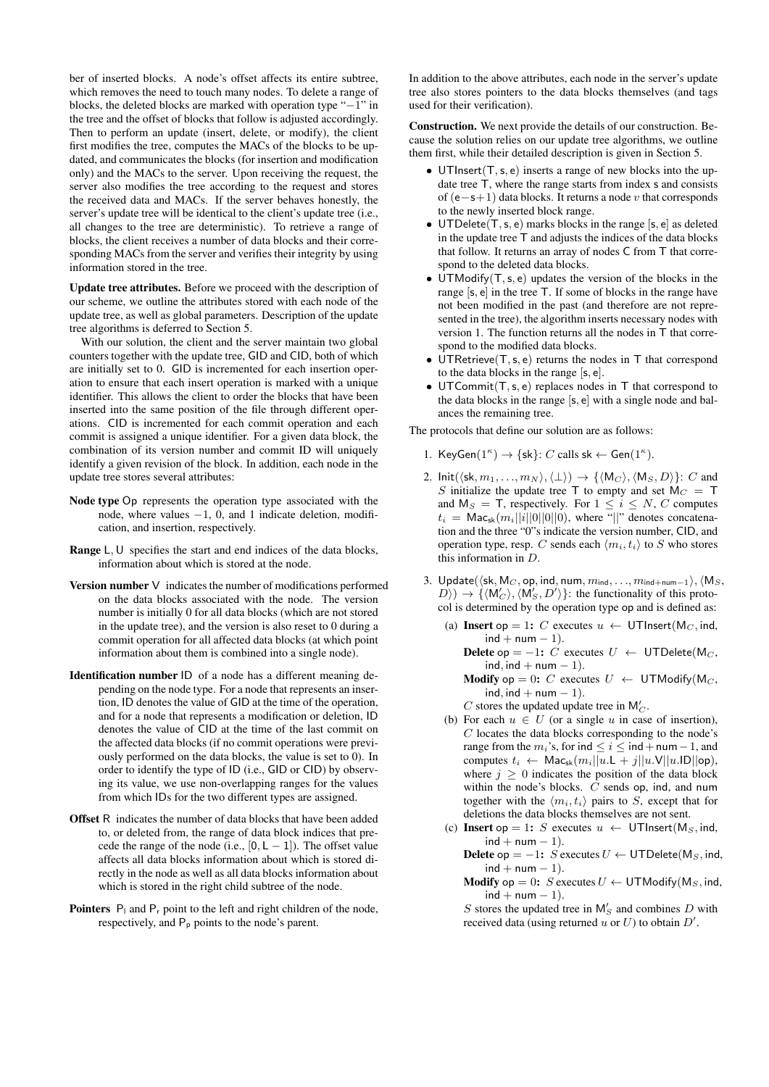ber of inserted blocks. A node's offset affects its entire subtree, which removes the need to touch many nodes. To delete a range of blocks, the deleted blocks are marked with operation type "−1" in the tree and the offset of blocks that follow is adjusted accordingly. Then to perform an update (insert, delete, or modify), the client first modifies the tree, computes the MACs of the blocks to be updated, and communicates the blocks (for insertion and modification only) and the MACs to the server. Upon receiving the request, the server also modifies the tree according to the request and stores the received data and MACs. If the server behaves honestly, the server's update tree will be identical to the client's update tree (i.e., all changes to the tree are deterministic). To retrieve a range of blocks, the client receives a number of data blocks and their corresponding MACs from the server and verifies their integrity by using information stored in the tree.

Update tree attributes. Before we proceed with the description of our scheme, we outline the attributes stored with each node of the update tree, as well as global parameters. Description of the update tree algorithms is deferred to Section 5.

With our solution, the client and the server maintain two global counters together with the update tree, GID and CID, both of which are initially set to 0. GID is incremented for each insertion operation to ensure that each insert operation is marked with a unique identifier. This allows the client to order the blocks that have been inserted into the same position of the file through different operations. CID is incremented for each commit operation and each commit is assigned a unique identifier. For a given data block, the combination of its version number and commit ID will uniquely identify a given revision of the block. In addition, each node in the update tree stores several attributes:

- Node type Op represents the operation type associated with the node, where values −1, 0, and 1 indicate deletion, modification, and insertion, respectively.
- Range L, U specifies the start and end indices of the data blocks, information about which is stored at the node.
- Version number V indicates the number of modifications performed on the data blocks associated with the node. The version number is initially 0 for all data blocks (which are not stored in the update tree), and the version is also reset to 0 during a commit operation for all affected data blocks (at which point information about them is combined into a single node).
- Identification number ID of a node has a different meaning depending on the node type. For a node that represents an insertion, ID denotes the value of GID at the time of the operation, and for a node that represents a modification or deletion, ID denotes the value of CID at the time of the last commit on the affected data blocks (if no commit operations were previously performed on the data blocks, the value is set to 0). In order to identify the type of ID (i.e., GID or CID) by observing its value, we use non-overlapping ranges for the values from which IDs for the two different types are assigned.
- Offset R indicates the number of data blocks that have been added to, or deleted from, the range of data block indices that precede the range of the node (i.e.,  $[0, L - 1]$ ). The offset value affects all data blocks information about which is stored directly in the node as well as all data blocks information about which is stored in the right child subtree of the node.
- **Pointers**  $P_1$  and  $P_r$  point to the left and right children of the node, respectively, and  $P_p$  points to the node's parent.

In addition to the above attributes, each node in the server's update tree also stores pointers to the data blocks themselves (and tags used for their verification).

Construction. We next provide the details of our construction. Because the solution relies on our update tree algorithms, we outline them first, while their detailed description is given in Section 5.

- UTInsert( $T, s, e$ ) inserts a range of new blocks into the update tree T, where the range starts from index s and consists of  $(e-s+1)$  data blocks. It returns a node v that corresponds to the newly inserted block range.
- UTDelete $(T, s, e)$  marks blocks in the range  $[s, e]$  as deleted in the update tree  $T$  and adjusts the indices of the data blocks that follow. It returns an array of nodes C from T that correspond to the deleted data blocks.
- UTModify( $T, s, e$ ) updates the version of the blocks in the range [s, e] in the tree T. If some of blocks in the range have not been modified in the past (and therefore are not represented in the tree), the algorithm inserts necessary nodes with version 1. The function returns all the nodes in T that correspond to the modified data blocks.
- UTRetrieve $(T, s, e)$  returns the nodes in T that correspond to the data blocks in the range [s, e].
- UTCommit $(T, s, e)$  replaces nodes in T that correspond to the data blocks in the range [s, e] with a single node and balances the remaining tree.

The protocols that define our solution are as follows:

- 1. KeyGen $(1^{\kappa}) \rightarrow \{\mathsf{sk}\}\colon C$  calls  $\mathsf{sk} \leftarrow \mathsf{Gen}(1^{\kappa})$ .
- 2. Init( $\langle$ sk,  $m_1, \ldots, m_N \rangle$ ,  $\langle \perp \rangle$ )  $\rightarrow$  { $\langle M_C \rangle$ ,  $\langle M_S, D \rangle$ }: C and S initialize the update tree T to empty and set  $M_C = T$ and  $M_S = T$ , respectively. For  $1 \leq i \leq N$ , C computes  $t_i = \text{Mac}_\text{sk}(m_i||i||0||0||0)$ , where "||" denotes concatenation and the three "0"s indicate the version number, CID, and operation type, resp. C sends each  $\langle m_i, t_i \rangle$  to S who stores this information in D.
- 3. Update( $\langle$ sk, M<sub>C</sub>, op, ind, num,  $m_{\text{ind}}, \ldots, m_{\text{ind}+\text{num}-1}\rangle, \langle M_S,$  $|D\rangle$ )  $\rightarrow \{\langle M_C' \rangle, \langle M_S', D' \rangle\}$ : the functionality of this protocol is determined by the operation type op and is defined as:
	- (a) Insert op = 1: C executes  $u \leftarrow \text{UTInsert}(M_C, \text{ind}, \text{Aut})$  $ind + num - 1$ ).

**Delete** op = -1:  $\overrightarrow{C}$  executes  $U \leftarrow$  UTDelete(M<sub>*C*</sub>, ind, ind  $+$  num  $-1$ ).

Modify op = 0: C executes  $U \leftarrow \text{UTModify}(M_C,$ ind, ind  $+$  num  $-1$ ).

 $C$  stores the updated update tree in  $M_C'$ .

- (b) For each  $u \in U$  (or a single u in case of insertion),  $C$  locates the data blocks corresponding to the node's range from the  $m_i$ 's, for ind  $\leq i \leq$  ind + num – 1, and computes  $t_i \leftarrow \text{Mac}_{sk}(m_i||u \cdot L + j||u \cdot V||u \cdot ID||op),$ where  $j \geq 0$  indicates the position of the data block within the node's blocks.  $\tilde{C}$  sends op, ind, and num together with the  $\langle m_i, t_i \rangle$  pairs to S, except that for deletions the data blocks themselves are not sent.
- (c) Insert op = 1: S executes  $u \leftarrow \text{UTInsert}(M_S, \text{ind},$  $ind + num - 1$ ).
	- **Delete** op = -1: S executes  $U$  ← UTDelete( $M_S$ , ind,  $ind + num - 1$ ).
	- Modify op = 0: S executes  $U \leftarrow \text{UTModify}(M_S, \text{ind},$  $ind + num - 1$ ).

 $S$  stores the updated tree in  $M'_{S}$  and combines  $D$  with received data (using returned  $\tilde{u}$  or  $U$ ) to obtain  $D'$ .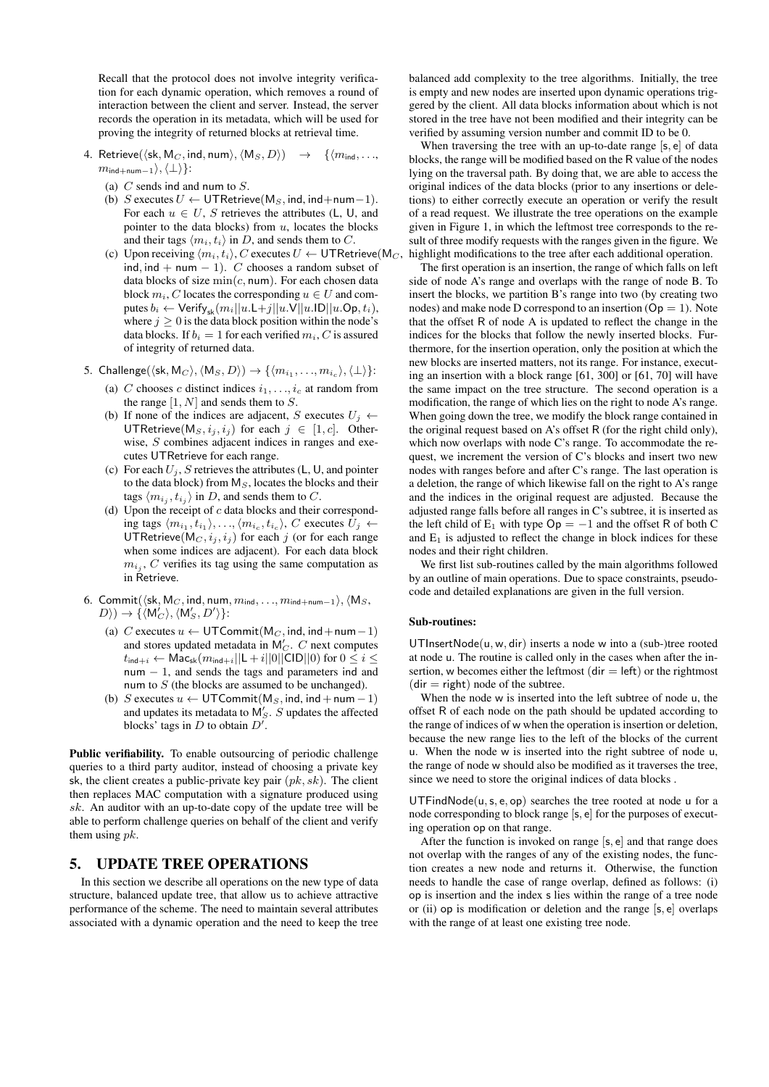Recall that the protocol does not involve integrity verification for each dynamic operation, which removes a round of interaction between the client and server. Instead, the server records the operation in its metadata, which will be used for proving the integrity of returned blocks at retrieval time.

- 4. Retrieve( $\langle$ sk, M<sub>C</sub>, ind, num $\rangle$ ,  $\langle M_S, D \rangle$ )  $\rightarrow$   $\{ \langle m_{ind}, \ldots, \rangle \}$  $m_{\text{ind+num}-1}\rangle,\langle\perp\rangle\}$ :
	- (a)  $C$  sends ind and num to  $S$ .
	- (b) S executes  $U \leftarrow \text{UTRetrieve}(M_S, \text{ind}, \text{ind} + \text{num} 1)$ . For each  $u \in U$ , S retrieves the attributes (L, U, and pointer to the data blocks) from  $u$ , locates the blocks and their tags  $\langle m_i, t_i \rangle$  in D, and sends them to C.
	- (c) Upon receiving  $\langle m_i, t_i \rangle$ , C executes  $U \leftarrow \text{UTRetrive}(M_C,$ ind, ind + num – 1). C chooses a random subset of data blocks of size  $\min(c, \text{num})$ . For each chosen data block  $m_i$ , C locates the corresponding  $u \in U$  and computes  $b_i \leftarrow \text{Verify}_{sk}(m_i||u.\text{L}+j||u.\text{V}||u.\text{ID}||u.\text{Op}, t_i),$ where  $j \geq 0$  is the data block position within the node's data blocks. If  $b_i = 1$  for each verified  $m_i, C$  is assured of integrity of returned data.
- $5. \,\,$  Challenge $(\langle$ sk $,$  M $_C \rangle,$   $\langle$  M $_S, D \rangle) \rightarrow$   $\{\langle m_{i_1},\dots,m_{i_c} \rangle,\langle{\perp}\rangle\}$ :
	- (a) C chooses c distinct indices  $i_1, \ldots, i_c$  at random from the range  $[1, N]$  and sends them to  $S$ .
	- (b) If none of the indices are adjacent, S executes  $U_i \leftarrow$ UTRetrieve( $M_S, i_j, i_j$ ) for each  $j \in [1, c]$ . Otherwise, S combines adjacent indices in ranges and executes UTRetrieve for each range.
	- (c) For each  $U_i$ , S retrieves the attributes (L, U, and pointer to the data block) from  $M<sub>S</sub>$ , locates the blocks and their tags  $\langle m_{i_j}, t_{i_j} \rangle$  in D, and sends them to C.
	- (d) Upon the receipt of  $c$  data blocks and their corresponding tags  $\langle m_{i_1}, t_{i_1} \rangle, \ldots, \langle m_{i_c}, t_{i_c} \rangle$ , C executes  $U_j \leftarrow$ UTRetrieve( $M_C$ ,  $i_j$ ,  $i_j$ ) for each j (or for each range when some indices are adjacent). For each data block  $m_{i_j}$ , C verifies its tag using the same computation as in Retrieve.
- 6. Commit $(\langle \text{sk}, M_C, \text{ind}, \text{num}, m_{\text{ind}}, \ldots, m_{\text{ind}+\text{num}-1}\rangle, \langle M_S,$  $\langle D \rangle) \rightarrow \{ \langle M_C' \rangle, \langle M_S', D' \rangle \}$ :
	- (a) C executes  $u \leftarrow \text{UTCommit}(M_C, \text{ind}, \text{ind}+\text{num}-1)$ and stores updated metadata in  $M_C'$ . C next computes  $t_{\text{ind}+i} \leftarrow \mathsf{Mac}_{\text{sk}}(m_{\text{ind}+i}||\mathsf{L}+i||0||\mathsf{CID}||0)$  for  $0 \leq i \leq$ num − 1, and sends the tags and parameters ind and num to  $S$  (the blocks are assumed to be unchanged).
	- (b) S executes  $u \leftarrow \text{UTCommit}(M_S, \text{ind}, \text{ind}+\text{num}-1)$ and updates its metadata to  $M_S$ . S updates the affected blocks' tags in  $D$  to obtain  $D'$ .

Public verifiability. To enable outsourcing of periodic challenge queries to a third party auditor, instead of choosing a private key sk, the client creates a public-private key pair  $(pk, sk)$ . The client then replaces MAC computation with a signature produced using sk. An auditor with an up-to-date copy of the update tree will be able to perform challenge queries on behalf of the client and verify them using pk.

### 5. UPDATE TREE OPERATIONS

In this section we describe all operations on the new type of data structure, balanced update tree, that allow us to achieve attractive performance of the scheme. The need to maintain several attributes associated with a dynamic operation and the need to keep the tree

balanced add complexity to the tree algorithms. Initially, the tree is empty and new nodes are inserted upon dynamic operations triggered by the client. All data blocks information about which is not stored in the tree have not been modified and their integrity can be verified by assuming version number and commit ID to be 0.

When traversing the tree with an up-to-date range [s, e] of data blocks, the range will be modified based on the R value of the nodes lying on the traversal path. By doing that, we are able to access the original indices of the data blocks (prior to any insertions or deletions) to either correctly execute an operation or verify the result of a read request. We illustrate the tree operations on the example given in Figure 1, in which the leftmost tree corresponds to the result of three modify requests with the ranges given in the figure. We highlight modifications to the tree after each additional operation.

The first operation is an insertion, the range of which falls on left side of node A's range and overlaps with the range of node B. To insert the blocks, we partition B's range into two (by creating two nodes) and make node D correspond to an insertion  $(Op = 1)$ . Note that the offset R of node A is updated to reflect the change in the indices for the blocks that follow the newly inserted blocks. Furthermore, for the insertion operation, only the position at which the new blocks are inserted matters, not its range. For instance, executing an insertion with a block range [61, 300] or [61, 70] will have the same impact on the tree structure. The second operation is a modification, the range of which lies on the right to node A's range. When going down the tree, we modify the block range contained in the original request based on A's offset R (for the right child only), which now overlaps with node C's range. To accommodate the request, we increment the version of C's blocks and insert two new nodes with ranges before and after C's range. The last operation is a deletion, the range of which likewise fall on the right to A's range and the indices in the original request are adjusted. Because the adjusted range falls before all ranges in C's subtree, it is inserted as the left child of  $E_1$  with type  $Op = -1$  and the offset R of both C and  $E_1$  is adjusted to reflect the change in block indices for these nodes and their right children.

We first list sub-routines called by the main algorithms followed by an outline of main operations. Due to space constraints, pseudocode and detailed explanations are given in the full version.

#### Sub-routines:

UTInsertNode(u, w, dir) inserts a node w into a (sub-)tree rooted at node u. The routine is called only in the cases when after the insertion, w becomes either the leftmost (dir  $=$  left) or the rightmost  $(dir = right)$  node of the subtree.

When the node w is inserted into the left subtree of node u, the offset R of each node on the path should be updated according to the range of indices of w when the operation is insertion or deletion, because the new range lies to the left of the blocks of the current u. When the node w is inserted into the right subtree of node u, the range of node w should also be modified as it traverses the tree, since we need to store the original indices of data blocks .

UTFindNode $(u, s, e, op)$  searches the tree rooted at node u for a node corresponding to block range [s, e] for the purposes of executing operation op on that range.

After the function is invoked on range [s, e] and that range does not overlap with the ranges of any of the existing nodes, the function creates a new node and returns it. Otherwise, the function needs to handle the case of range overlap, defined as follows: (i) op is insertion and the index s lies within the range of a tree node or (ii) op is modification or deletion and the range [s, e] overlaps with the range of at least one existing tree node.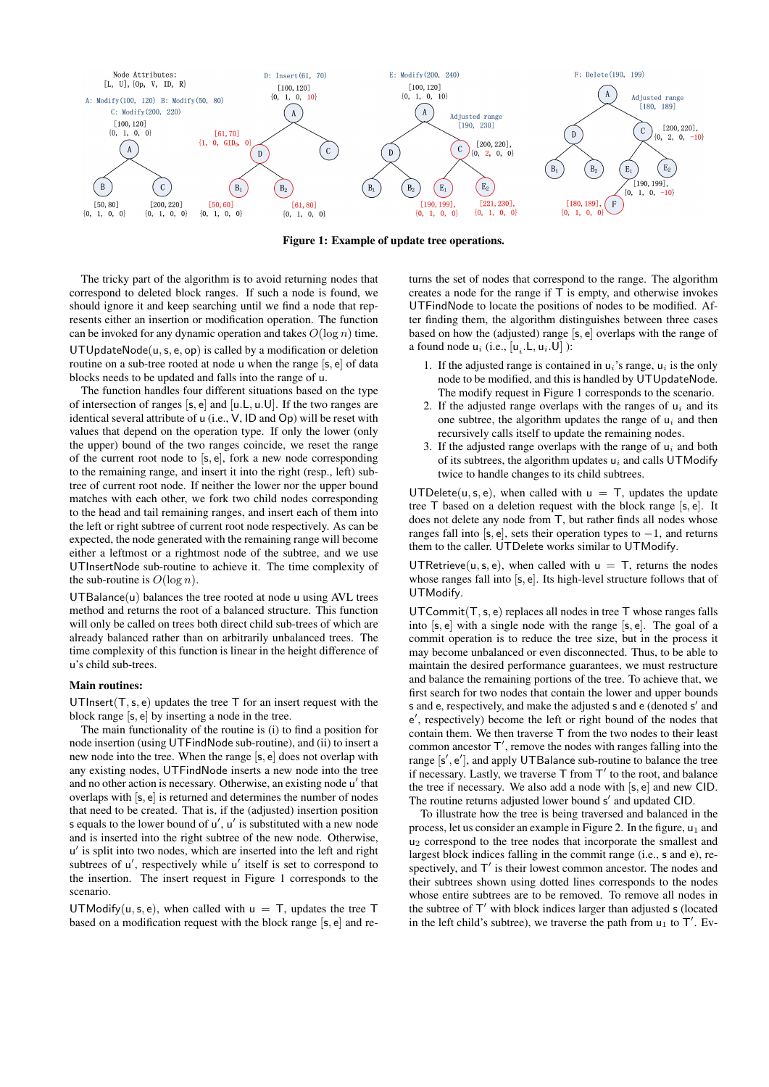

Figure 1: Example of update tree operations.

The tricky part of the algorithm is to avoid returning nodes that correspond to deleted block ranges. If such a node is found, we should ignore it and keep searching until we find a node that represents either an insertion or modification operation. The function can be invoked for any dynamic operation and takes  $O(\log n)$  time. UTUpdateNode(u,s, e, op) is called by a modification or deletion routine on a sub-tree rooted at node u when the range [s, e] of data blocks needs to be updated and falls into the range of u.

The function handles four different situations based on the type of intersection of ranges [s, e] and [u.L, u.U]. If the two ranges are identical several attribute of u (i.e., V, ID and Op) will be reset with values that depend on the operation type. If only the lower (only the upper) bound of the two ranges coincide, we reset the range of the current root node to [s, e], fork a new node corresponding to the remaining range, and insert it into the right (resp., left) subtree of current root node. If neither the lower nor the upper bound matches with each other, we fork two child nodes corresponding to the head and tail remaining ranges, and insert each of them into the left or right subtree of current root node respectively. As can be expected, the node generated with the remaining range will become either a leftmost or a rightmost node of the subtree, and we use UTInsertNode sub-routine to achieve it. The time complexity of the sub-routine is  $O(\log n)$ .

 $UTB$ alance $(u)$  balances the tree rooted at node u using AVL trees method and returns the root of a balanced structure. This function will only be called on trees both direct child sub-trees of which are already balanced rather than on arbitrarily unbalanced trees. The time complexity of this function is linear in the height difference of u's child sub-trees.

#### Main routines:

UTInsert( $T, s, e$ ) updates the tree  $T$  for an insert request with the block range [s, e] by inserting a node in the tree.

The main functionality of the routine is (i) to find a position for node insertion (using UTFindNode sub-routine), and (ii) to insert a new node into the tree. When the range [s, e] does not overlap with any existing nodes, UTFindNode inserts a new node into the tree and no other action is necessary. Otherwise, an existing node u' that overlaps with [s, e] is returned and determines the number of nodes that need to be created. That is, if the (adjusted) insertion position s equals to the lower bound of u', u' is substituted with a new node and is inserted into the right subtree of the new node. Otherwise, u' is split into two nodes, which are inserted into the left and right subtrees of u', respectively while u' itself is set to correspond to the insertion. The insert request in Figure 1 corresponds to the scenario.

UTModify(u, s, e), when called with  $u = T$ , updates the tree T based on a modification request with the block range [s, e] and returns the set of nodes that correspond to the range. The algorithm creates a node for the range if T is empty, and otherwise invokes UTFindNode to locate the positions of nodes to be modified. After finding them, the algorithm distinguishes between three cases based on how the (adjusted) range [s, e] overlaps with the range of a found node  $u_i$  (i.e.,  $[u_i, L, u_i, U]$ ):

- 1. If the adjusted range is contained in  $u_i$ 's range,  $u_i$  is the only node to be modified, and this is handled by UTUpdateNode. The modify request in Figure 1 corresponds to the scenario.
- 2. If the adjusted range overlaps with the ranges of  $u_i$  and its one subtree, the algorithm updates the range of  $u_i$  and then recursively calls itself to update the remaining nodes.
- 3. If the adjusted range overlaps with the range of  $u_i$  and both of its subtrees, the algorithm updates  $u_i$  and calls UTModify twice to handle changes to its child subtrees.

UTDelete(u, s, e), when called with  $u = T$ , updates the update tree T based on a deletion request with the block range [s, e]. It does not delete any node from T, but rather finds all nodes whose ranges fall into [s, e], sets their operation types to  $-1$ , and returns them to the caller. UTDelete works similar to UTModify.

UTRetrieve(u, s, e), when called with  $u = T$ , returns the nodes whose ranges fall into [s, e]. Its high-level structure follows that of UTModify.

 $UTCommit(T, s, e)$  replaces all nodes in tree T whose ranges falls into [s, e] with a single node with the range [s, e]. The goal of a commit operation is to reduce the tree size, but in the process it may become unbalanced or even disconnected. Thus, to be able to maintain the desired performance guarantees, we must restructure and balance the remaining portions of the tree. To achieve that, we first search for two nodes that contain the lower and upper bounds s and e, respectively, and make the adjusted s and e (denoted s' and e', respectively) become the left or right bound of the nodes that contain them. We then traverse T from the two nodes to their least common ancestor  $T'$ , remove the nodes with ranges falling into the range [s', e'], and apply UTBalance sub-routine to balance the tree if necessary. Lastly, we traverse  $\mathsf T$  from  $\mathsf T'$  to the root, and balance the tree if necessary. We also add a node with [s, e] and new CID. The routine returns adjusted lower bound s' and updated CID.

To illustrate how the tree is being traversed and balanced in the process, let us consider an example in Figure 2. In the figure,  $u_1$  and  $u_2$  correspond to the tree nodes that incorporate the smallest and largest block indices falling in the commit range (i.e., s and e), respectively, and  $T'$  is their lowest common ancestor. The nodes and their subtrees shown using dotted lines corresponds to the nodes whose entire subtrees are to be removed. To remove all nodes in the subtree of T' with block indices larger than adjusted s (located in the left child's subtree), we traverse the path from  $u_1$  to  $T'$ . Ev-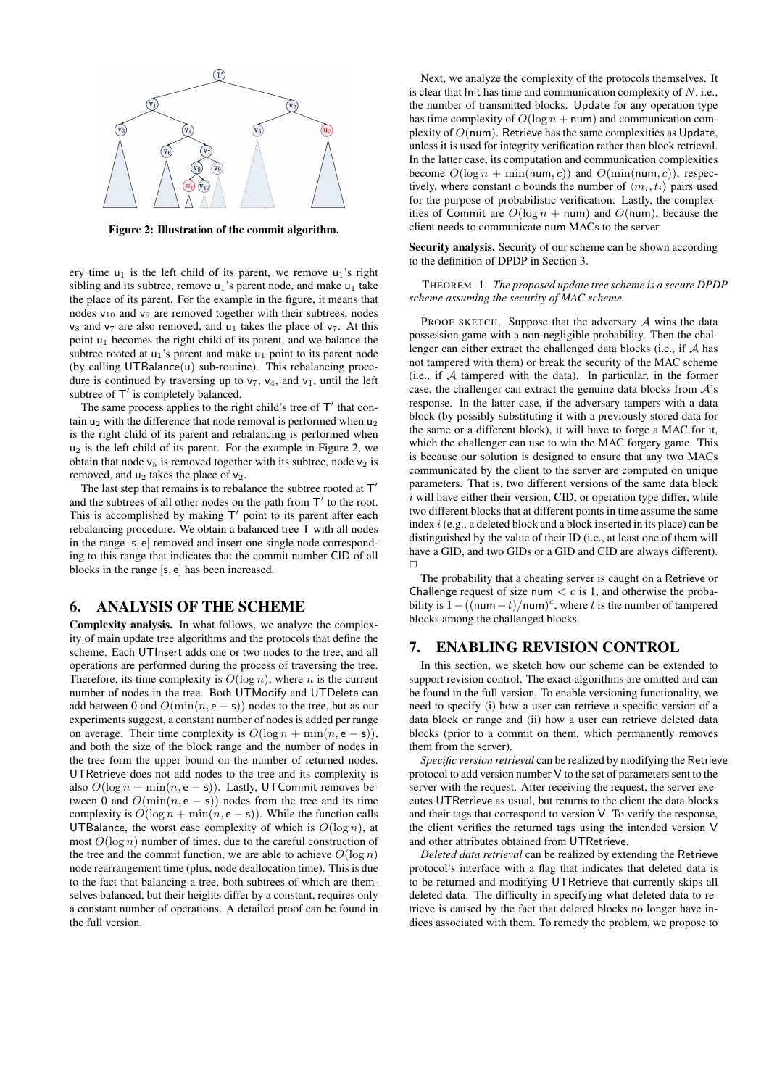

Figure 2: Illustration of the commit algorithm.

ery time  $u_1$  is the left child of its parent, we remove  $u_1$ 's right sibling and its subtree, remove  $u_1$ 's parent node, and make  $u_1$  take the place of its parent. For the example in the figure, it means that nodes v<sub>10</sub> and v<sub>9</sub> are removed together with their subtrees, nodes  $v_8$  and  $v_7$  are also removed, and  $u_1$  takes the place of  $v_7$ . At this point  $u_1$  becomes the right child of its parent, and we balance the subtree rooted at  $u_1$ 's parent and make  $u_1$  point to its parent node (by calling UTBalance(u) sub-routine). This rebalancing procedure is continued by traversing up to  $v_7$ ,  $v_4$ , and  $v_1$ , until the left subtree of  $T'$  is completely balanced.

The same process applies to the right child's tree of  $T'$  that contain  $u_2$  with the difference that node removal is performed when  $u_2$ is the right child of its parent and rebalancing is performed when  $u_2$  is the left child of its parent. For the example in Figure 2, we obtain that node  $v_5$  is removed together with its subtree, node  $v_2$  is removed, and  $u_2$  takes the place of  $v_2$ .

The last step that remains is to rebalance the subtree rooted at  $T'$ and the subtrees of all other nodes on the path from  $T'$  to the root. This is accomplished by making  $T'$  point to its parent after each rebalancing procedure. We obtain a balanced tree T with all nodes in the range [s, e] removed and insert one single node corresponding to this range that indicates that the commit number CID of all blocks in the range [s, e] has been increased.

## 6. ANALYSIS OF THE SCHEME

Complexity analysis. In what follows, we analyze the complexity of main update tree algorithms and the protocols that define the scheme. Each UTInsert adds one or two nodes to the tree, and all operations are performed during the process of traversing the tree. Therefore, its time complexity is  $O(\log n)$ , where *n* is the current number of nodes in the tree. Both UTModify and UTDelete can add between 0 and  $O(\min(n, e - s))$  nodes to the tree, but as our experiments suggest, a constant number of nodes is added per range on average. Their time complexity is  $O(\log n + \min(n, e - s))$ , and both the size of the block range and the number of nodes in the tree form the upper bound on the number of returned nodes. UTRetrieve does not add nodes to the tree and its complexity is also  $O(\log n + \min(n, e - s))$ . Lastly, UTCommit removes between 0 and  $O(\min(n, e - s))$  nodes from the tree and its time complexity is  $O(\log n + \min(n, e - s))$ . While the function calls UTBalance, the worst case complexity of which is  $O(\log n)$ , at most  $O(\log n)$  number of times, due to the careful construction of the tree and the commit function, we are able to achieve  $O(\log n)$ node rearrangement time (plus, node deallocation time). This is due to the fact that balancing a tree, both subtrees of which are themselves balanced, but their heights differ by a constant, requires only a constant number of operations. A detailed proof can be found in the full version.

Next, we analyze the complexity of the protocols themselves. It is clear that Init has time and communication complexity of  $N$ , i.e., the number of transmitted blocks. Update for any operation type has time complexity of  $O(\log n + \text{num})$  and communication complexity of  $O(num)$ . Retrieve has the same complexities as Update, unless it is used for integrity verification rather than block retrieval. In the latter case, its computation and communication complexities become  $O(\log n + \min(\text{num}, c))$  and  $O(\min(\text{num}, c))$ , respectively, where constant c bounds the number of  $\langle m_i, t_i \rangle$  pairs used for the purpose of probabilistic verification. Lastly, the complexities of Commit are  $O(\log n + \text{num})$  and  $O(\text{num})$ , because the client needs to communicate num MACs to the server.

Security analysis. Security of our scheme can be shown according to the definition of DPDP in Section 3.

THEOREM 1. *The proposed update tree scheme is a secure DPDP scheme assuming the security of MAC scheme.*

PROOF SKETCH. Suppose that the adversary  $A$  wins the data possession game with a non-negligible probability. Then the challenger can either extract the challenged data blocks (i.e., if A has not tampered with them) or break the security of the MAC scheme  $(i.e., if  $A$  tampered with the data). In particular, in the former$ case, the challenger can extract the genuine data blocks from  $A$ 's response. In the latter case, if the adversary tampers with a data block (by possibly substituting it with a previously stored data for the same or a different block), it will have to forge a MAC for it, which the challenger can use to win the MAC forgery game. This is because our solution is designed to ensure that any two MACs communicated by the client to the server are computed on unique parameters. That is, two different versions of the same data block  $i$  will have either their version, CID, or operation type differ, while two different blocks that at different points in time assume the same index i (e.g., a deleted block and a block inserted in its place) can be distinguished by the value of their ID (i.e., at least one of them will have a GID, and two GIDs or a GID and CID are always different).  $\Box$ 

The probability that a cheating server is caught on a Retrieve or Challenge request of size num  $\langle c \rangle$  is 1, and otherwise the probability is  $1 - ((\text{num} - t)/\text{num})^c$ , where t is the number of tampered blocks among the challenged blocks.

## 7. ENABLING REVISION CONTROL

In this section, we sketch how our scheme can be extended to support revision control. The exact algorithms are omitted and can be found in the full version. To enable versioning functionality, we need to specify (i) how a user can retrieve a specific version of a data block or range and (ii) how a user can retrieve deleted data blocks (prior to a commit on them, which permanently removes them from the server).

*Specific version retrieval* can be realized by modifying the Retrieve protocol to add version number V to the set of parameters sent to the server with the request. After receiving the request, the server executes UTRetrieve as usual, but returns to the client the data blocks and their tags that correspond to version V. To verify the response, the client verifies the returned tags using the intended version V and other attributes obtained from UTRetrieve.

*Deleted data retrieval* can be realized by extending the Retrieve protocol's interface with a flag that indicates that deleted data is to be returned and modifying UTRetrieve that currently skips all deleted data. The difficulty in specifying what deleted data to retrieve is caused by the fact that deleted blocks no longer have indices associated with them. To remedy the problem, we propose to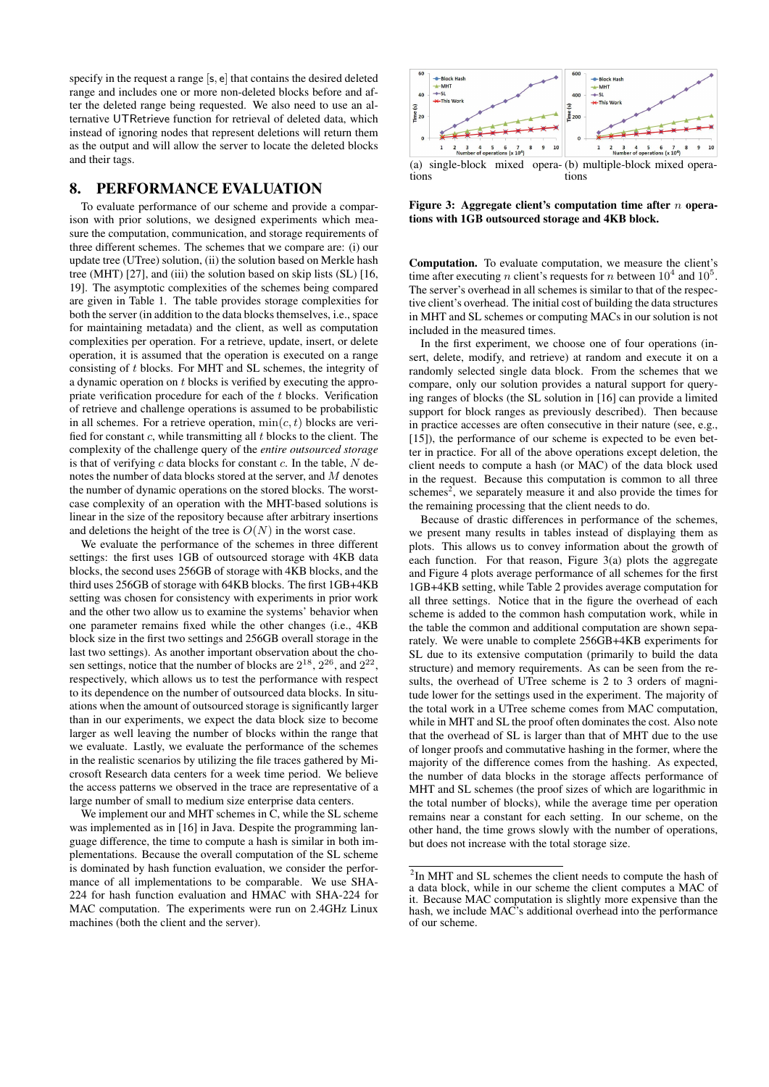specify in the request a range [s, e] that contains the desired deleted range and includes one or more non-deleted blocks before and after the deleted range being requested. We also need to use an alternative UTRetrieve function for retrieval of deleted data, which instead of ignoring nodes that represent deletions will return them as the output and will allow the server to locate the deleted blocks and their tags.

## 8. PERFORMANCE EVALUATION

To evaluate performance of our scheme and provide a comparison with prior solutions, we designed experiments which measure the computation, communication, and storage requirements of three different schemes. The schemes that we compare are: (i) our update tree (UTree) solution, (ii) the solution based on Merkle hash tree (MHT) [27], and (iii) the solution based on skip lists (SL) [16, 19]. The asymptotic complexities of the schemes being compared are given in Table 1. The table provides storage complexities for both the server (in addition to the data blocks themselves, i.e., space for maintaining metadata) and the client, as well as computation complexities per operation. For a retrieve, update, insert, or delete operation, it is assumed that the operation is executed on a range consisting of t blocks. For MHT and SL schemes, the integrity of a dynamic operation on t blocks is verified by executing the appropriate verification procedure for each of the t blocks. Verification of retrieve and challenge operations is assumed to be probabilistic in all schemes. For a retrieve operation,  $min(c, t)$  blocks are verified for constant  $c$ , while transmitting all  $t$  blocks to the client. The complexity of the challenge query of the *entire outsourced storage* is that of verifying  $c$  data blocks for constant  $c$ . In the table,  $N$  denotes the number of data blocks stored at the server, and M denotes the number of dynamic operations on the stored blocks. The worstcase complexity of an operation with the MHT-based solutions is linear in the size of the repository because after arbitrary insertions and deletions the height of the tree is  $O(N)$  in the worst case.

We evaluate the performance of the schemes in three different settings: the first uses 1GB of outsourced storage with 4KB data blocks, the second uses 256GB of storage with 4KB blocks, and the third uses 256GB of storage with 64KB blocks. The first 1GB+4KB setting was chosen for consistency with experiments in prior work and the other two allow us to examine the systems' behavior when one parameter remains fixed while the other changes (i.e., 4KB block size in the first two settings and 256GB overall storage in the last two settings). As another important observation about the chosen settings, notice that the number of blocks are  $2^{18}$ ,  $2^{26}$ , and  $2^{22}$ , respectively, which allows us to test the performance with respect to its dependence on the number of outsourced data blocks. In situations when the amount of outsourced storage is significantly larger than in our experiments, we expect the data block size to become larger as well leaving the number of blocks within the range that we evaluate. Lastly, we evaluate the performance of the schemes in the realistic scenarios by utilizing the file traces gathered by Microsoft Research data centers for a week time period. We believe the access patterns we observed in the trace are representative of a large number of small to medium size enterprise data centers.

We implement our and MHT schemes in C, while the SL scheme was implemented as in [16] in Java. Despite the programming language difference, the time to compute a hash is similar in both implementations. Because the overall computation of the SL scheme is dominated by hash function evaluation, we consider the performance of all implementations to be comparable. We use SHA-224 for hash function evaluation and HMAC with SHA-224 for MAC computation. The experiments were run on 2.4GHz Linux machines (both the client and the server).



Figure 3: Aggregate client's computation time after  $n$  operations with 1GB outsourced storage and 4KB block.

Computation. To evaluate computation, we measure the client's time after executing *n* client's requests for *n* between  $10^4$  and  $10^5$ . The server's overhead in all schemes is similar to that of the respective client's overhead. The initial cost of building the data structures in MHT and SL schemes or computing MACs in our solution is not included in the measured times.

In the first experiment, we choose one of four operations (insert, delete, modify, and retrieve) at random and execute it on a randomly selected single data block. From the schemes that we compare, only our solution provides a natural support for querying ranges of blocks (the SL solution in [16] can provide a limited support for block ranges as previously described). Then because in practice accesses are often consecutive in their nature (see, e.g., [15]), the performance of our scheme is expected to be even better in practice. For all of the above operations except deletion, the client needs to compute a hash (or MAC) of the data block used in the request. Because this computation is common to all three schemes $2$ , we separately measure it and also provide the times for the remaining processing that the client needs to do.

Because of drastic differences in performance of the schemes, we present many results in tables instead of displaying them as plots. This allows us to convey information about the growth of each function. For that reason, Figure 3(a) plots the aggregate and Figure 4 plots average performance of all schemes for the first 1GB+4KB setting, while Table 2 provides average computation for all three settings. Notice that in the figure the overhead of each scheme is added to the common hash computation work, while in the table the common and additional computation are shown separately. We were unable to complete 256GB+4KB experiments for SL due to its extensive computation (primarily to build the data structure) and memory requirements. As can be seen from the results, the overhead of UTree scheme is 2 to 3 orders of magnitude lower for the settings used in the experiment. The majority of the total work in a UTree scheme comes from MAC computation, while in MHT and SL the proof often dominates the cost. Also note that the overhead of SL is larger than that of MHT due to the use of longer proofs and commutative hashing in the former, where the majority of the difference comes from the hashing. As expected, the number of data blocks in the storage affects performance of MHT and SL schemes (the proof sizes of which are logarithmic in the total number of blocks), while the average time per operation remains near a constant for each setting. In our scheme, on the other hand, the time grows slowly with the number of operations, but does not increase with the total storage size.

<sup>&</sup>lt;sup>2</sup>In MHT and SL schemes the client needs to compute the hash of a data block, while in our scheme the client computes a MAC of it. Because MAC computation is slightly more expensive than the hash, we include MAC's additional overhead into the performance of our scheme.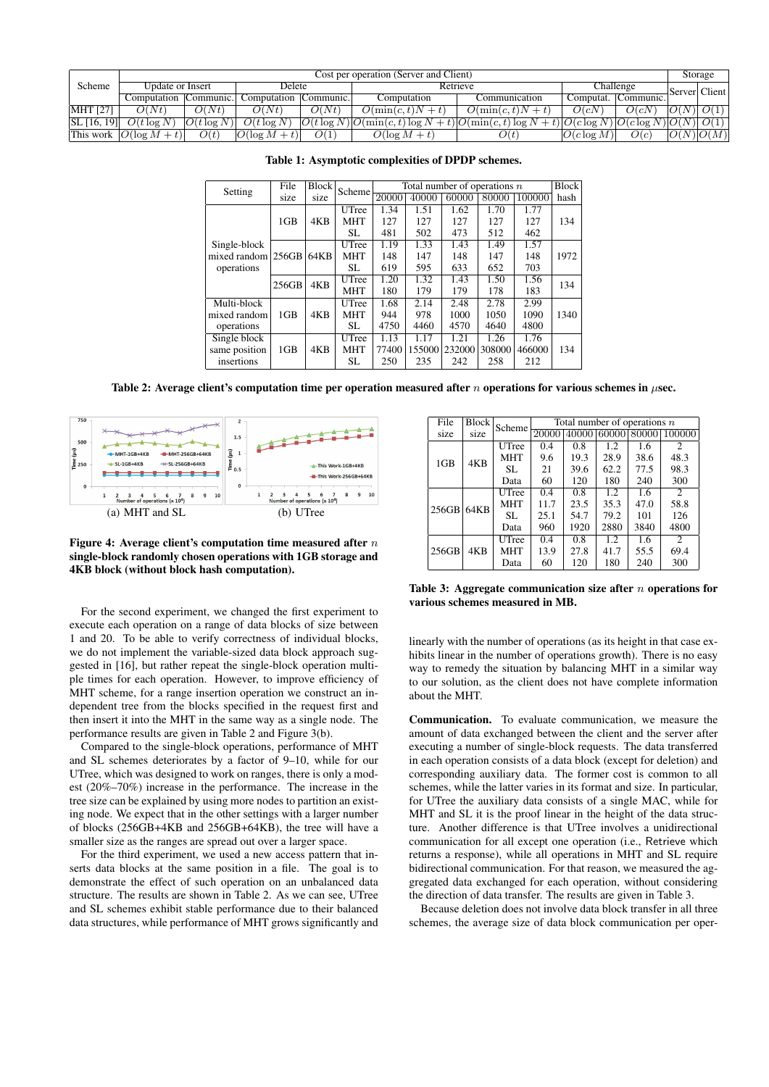|                 | Cost per operation (Server and Client) |                 |               |           |                       |                                                                                              |                 |                |      |                 |
|-----------------|----------------------------------------|-----------------|---------------|-----------|-----------------------|----------------------------------------------------------------------------------------------|-----------------|----------------|------|-----------------|
| Scheme          | Update or Insert                       |                 | Delete        |           | Challenge<br>Retrieve |                                                                                              |                 | Serverl Client |      |                 |
|                 | Computation   Communic.                |                 | Computation   | Communic. | Computation           | Communication                                                                                | Computat.       | Communic.      |      |                 |
| <b>MHT</b> [27] | O(Nt)                                  | O(Nt)           | O(Nt)         | O(Nt)     | $O(\min(c,t)N+t)$     | $O(\min(c,t)N+t)$                                                                            | O(cN)           | O(cN)          |      | $ O(N) $ $O(1)$ |
| SL [16, 19]     | $O(t \log N)$                          | $ O(t \log t) $ | $O(t \log N)$ |           |                       | $ O(t \log N) O(\min(c,t) \log N + t) O(\min(c,t) \log N + t) O(c \log N) O(c \log N) O(t) $ |                 |                |      |                 |
| This work       | $\overline{O(\log M)}$<br>$+ t$ )      | O(t)            | $ O(\log M +$ | 011       | $O(\log M + t)$       | O(t)                                                                                         | $ O(c \log M) $ | O(c)           | 1O ( | $(N)$   $O(M)$  |

| Table 1: Asymptotic complexities of DPDP schemes. |  |  |  |
|---------------------------------------------------|--|--|--|
|---------------------------------------------------|--|--|--|

| Setting                | File  | <b>Block</b> | Scheme     | Total number of operations $n$ |        |        |        |        | <b>Block</b> |
|------------------------|-------|--------------|------------|--------------------------------|--------|--------|--------|--------|--------------|
|                        | size  | size         |            | 20000                          | 40000  | 60000  | 80000  | 100000 | hash         |
|                        |       |              | UTree      | 1.34                           | 1.51   | 1.62   | 1.70   | 1.77   |              |
|                        | 1GB   | 4KB          | <b>MHT</b> | 127                            | 127    | 127    | 127    | 127    | 134          |
|                        |       |              | SL         | 481                            | 502    | 473    | 512    | 462    |              |
| Single-block           |       |              | UTree      | 1.19                           | 1.33   | 1.43   | 1.49   | 1.57   |              |
| mixed random $ 256GB $ |       | 64KB         | <b>MHT</b> | 148                            | 147    | 148    | 147    | 148    | 1972         |
| operations             |       |              | SL         | 619                            | 595    | 633    | 652    | 703    |              |
|                        | 256GB | 4KB          | UTree      | 1.20                           | 1.32   | 1.43   | 1.50   | 1.56   | 134          |
|                        |       |              | <b>MHT</b> | 180                            | 179    | 179    | 178    | 183    |              |
| Multi-block            |       |              | UTree      | 1.68                           | 2.14   | 2.48   | 2.78   | 2.99   |              |
| mixed random           | 1GB   | 4KB          | <b>MHT</b> | 944                            | 978    | 1000   | 1050   | 1090   | 1340         |
| operations             |       |              | SL.        | 4750                           | 4460   | 4570   | 4640   | 4800   |              |
| Single block           |       |              | UTree      | 1.13                           | 1.17   | 1.21   | 1.26   | 1.76   |              |
| same position          | 1GB   | 4KB          | <b>MHT</b> | 77400                          | 155000 | 232000 | 308000 | 466000 | 134          |
| insertions             |       |              | SL         | 250                            | 235    | 242    | 258    | 212    |              |

Table 2: Average client's computation time per operation measured after n operations for various schemes in  $\mu$ sec.



#### Figure 4: Average client's computation time measured after  $n$ single-block randomly chosen operations with 1GB storage and 4KB block (without block hash computation).

For the second experiment, we changed the first experiment to execute each operation on a range of data blocks of size between 1 and 20. To be able to verify correctness of individual blocks, we do not implement the variable-sized data block approach suggested in [16], but rather repeat the single-block operation multiple times for each operation. However, to improve efficiency of MHT scheme, for a range insertion operation we construct an independent tree from the blocks specified in the request first and then insert it into the MHT in the same way as a single node. The performance results are given in Table 2 and Figure 3(b).

Compared to the single-block operations, performance of MHT and SL schemes deteriorates by a factor of 9–10, while for our UTree, which was designed to work on ranges, there is only a modest (20%–70%) increase in the performance. The increase in the tree size can be explained by using more nodes to partition an existing node. We expect that in the other settings with a larger number of blocks (256GB+4KB and 256GB+64KB), the tree will have a smaller size as the ranges are spread out over a larger space.

For the third experiment, we used a new access pattern that inserts data blocks at the same position in a file. The goal is to demonstrate the effect of such operation on an unbalanced data structure. The results are shown in Table 2. As we can see, UTree and SL schemes exhibit stable performance due to their balanced data structures, while performance of MHT grows significantly and

| File            | <b>Block</b> | Scheme     | Total number of operations $n$ |      |      |                   |                             |  |  |  |
|-----------------|--------------|------------|--------------------------------|------|------|-------------------|-----------------------------|--|--|--|
| size            | size         |            | 20000                          |      |      | 40000 60000 80000 | 100000                      |  |  |  |
| 1 <sub>GB</sub> | 4KB          | UTree      | 0.4                            | 0.8  | 1.2  | 1.6               | 2                           |  |  |  |
|                 |              | <b>MHT</b> | 9.6                            | 19.3 | 28.9 | 38.6              | 48.3                        |  |  |  |
|                 |              | SL         | 21                             | 39.6 | 62.2 | 77.5              | 98.3                        |  |  |  |
|                 |              | Data       | 60                             | 120  | 180  | 240               | 300                         |  |  |  |
|                 | 64KB         | UTree      | 0.4                            | 0.8  | 1.2  | 1.6               | $\mathcal{D}_{\mathcal{L}}$ |  |  |  |
| 256GB           |              | <b>MHT</b> | 11.7                           | 23.5 | 35.3 | 47.0              | 58.8                        |  |  |  |
|                 |              | SL.        | 25.1                           | 54.7 | 79.2 | 101               | 126                         |  |  |  |
|                 |              | Data       | 960                            | 1920 | 2880 | 3840              | 4800                        |  |  |  |
| 256GB           | 4KB          | UTree      | 0.4                            | 0.8  | 1.2  | 1.6               | $\mathcal{D}_{\mathcal{L}}$ |  |  |  |
|                 |              | <b>MHT</b> | 13.9                           | 27.8 | 41.7 | 55.5              | 69.4                        |  |  |  |
|                 |              | Data       | 60                             | 120  | 180  | 240               | 300                         |  |  |  |

Table 3: Aggregate communication size after  $n$  operations for various schemes measured in MB.

linearly with the number of operations (as its height in that case exhibits linear in the number of operations growth). There is no easy way to remedy the situation by balancing MHT in a similar way to our solution, as the client does not have complete information about the MHT.

Communication. To evaluate communication, we measure the amount of data exchanged between the client and the server after executing a number of single-block requests. The data transferred in each operation consists of a data block (except for deletion) and corresponding auxiliary data. The former cost is common to all schemes, while the latter varies in its format and size. In particular, for UTree the auxiliary data consists of a single MAC, while for MHT and SL it is the proof linear in the height of the data structure. Another difference is that UTree involves a unidirectional communication for all except one operation (i.e., Retrieve which returns a response), while all operations in MHT and SL require bidirectional communication. For that reason, we measured the aggregated data exchanged for each operation, without considering the direction of data transfer. The results are given in Table 3.

Because deletion does not involve data block transfer in all three schemes, the average size of data block communication per oper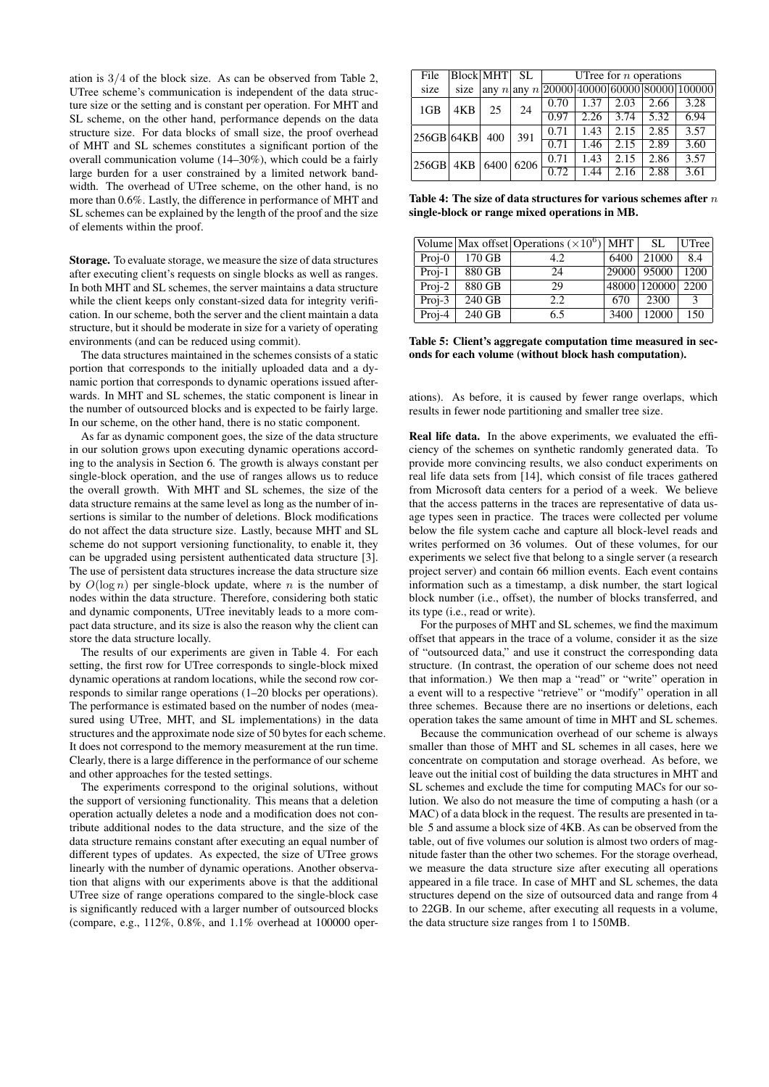ation is  $3/4$  of the block size. As can be observed from Table 2, UTree scheme's communication is independent of the data structure size or the setting and is constant per operation. For MHT and SL scheme, on the other hand, performance depends on the data structure size. For data blocks of small size, the proof overhead of MHT and SL schemes constitutes a significant portion of the overall communication volume (14–30%), which could be a fairly large burden for a user constrained by a limited network bandwidth. The overhead of UTree scheme, on the other hand, is no more than 0.6%. Lastly, the difference in performance of MHT and SL schemes can be explained by the length of the proof and the size of elements within the proof.

Storage. To evaluate storage, we measure the size of data structures after executing client's requests on single blocks as well as ranges. In both MHT and SL schemes, the server maintains a data structure while the client keeps only constant-sized data for integrity verification. In our scheme, both the server and the client maintain a data structure, but it should be moderate in size for a variety of operating environments (and can be reduced using commit).

The data structures maintained in the schemes consists of a static portion that corresponds to the initially uploaded data and a dynamic portion that corresponds to dynamic operations issued afterwards. In MHT and SL schemes, the static component is linear in the number of outsourced blocks and is expected to be fairly large. In our scheme, on the other hand, there is no static component.

As far as dynamic component goes, the size of the data structure in our solution grows upon executing dynamic operations according to the analysis in Section 6. The growth is always constant per single-block operation, and the use of ranges allows us to reduce the overall growth. With MHT and SL schemes, the size of the data structure remains at the same level as long as the number of insertions is similar to the number of deletions. Block modifications do not affect the data structure size. Lastly, because MHT and SL scheme do not support versioning functionality, to enable it, they can be upgraded using persistent authenticated data structure [3]. The use of persistent data structures increase the data structure size by  $O(\log n)$  per single-block update, where n is the number of nodes within the data structure. Therefore, considering both static and dynamic components, UTree inevitably leads to a more compact data structure, and its size is also the reason why the client can store the data structure locally.

The results of our experiments are given in Table 4. For each setting, the first row for UTree corresponds to single-block mixed dynamic operations at random locations, while the second row corresponds to similar range operations (1–20 blocks per operations). The performance is estimated based on the number of nodes (measured using UTree, MHT, and SL implementations) in the data structures and the approximate node size of 50 bytes for each scheme. It does not correspond to the memory measurement at the run time. Clearly, there is a large difference in the performance of our scheme and other approaches for the tested settings.

The experiments correspond to the original solutions, without the support of versioning functionality. This means that a deletion operation actually deletes a node and a modification does not contribute additional nodes to the data structure, and the size of the data structure remains constant after executing an equal number of different types of updates. As expected, the size of UTree grows linearly with the number of dynamic operations. Another observation that aligns with our experiments above is that the additional UTree size of range operations compared to the single-block case is significantly reduced with a larger number of outsourced blocks (compare, e.g., 112%, 0.8%, and 1.1% overhead at 100000 oper-

| File            | <b>Block MHT</b> |         | SL.  | UTree for $n$ operations |      |      |      |                                              |  |
|-----------------|------------------|---------|------|--------------------------|------|------|------|----------------------------------------------|--|
| size            | size             | any $n$ |      |                          |      |      |      | any $n\sqrt{20000/40000/60000/80000/100000}$ |  |
| 1 <sub>GB</sub> | 4KB              | 25      | 24   | 0.70                     | 1.37 | 2.03 | 2.66 | 3.28                                         |  |
|                 |                  |         |      | 0.97                     | 2.26 | 3.74 | 5.32 | 6.94                                         |  |
| 256GB 64KB      |                  | 400     | 391  | 0.71                     | 1.43 | 2.15 | 2.85 | 3.57                                         |  |
|                 |                  |         |      | 0.71                     | 1.46 | 2.15 | 2.89 | 3.60                                         |  |
| 256GB           | 4KB              | 6400    | 6206 | 0.71                     | 1.43 | 2.15 | 2.86 | 3.57                                         |  |
|                 |                  |         |      | 0.72                     | 1.44 | 2.16 | 2.88 | 3.61                                         |  |

Table 4: The size of data structures for various schemes after  $n$ single-block or range mixed operations in MB.

|          |        | Volume   Max offset   Operations $(\times 10^6)$   MHT |      | SL.          | UTree |
|----------|--------|--------------------------------------------------------|------|--------------|-------|
| $Proj-0$ | 170 GB | 4.2                                                    | 6400 | 21000        | 8.4   |
| $Proj-1$ | 880 GB | 24                                                     |      | 29000 95000  | 1200  |
| $Proj-2$ | 880 GB | 29                                                     |      | 48000 120000 | 2200  |
| $Proj-3$ | 240 GB | 2.2                                                    | 670  | 2300         | 3     |
| $Proj-4$ | 240 GB | 6.5                                                    | 3400 | 12000        | 150   |

Table 5: Client's aggregate computation time measured in seconds for each volume (without block hash computation).

ations). As before, it is caused by fewer range overlaps, which results in fewer node partitioning and smaller tree size.

Real life data. In the above experiments, we evaluated the efficiency of the schemes on synthetic randomly generated data. To provide more convincing results, we also conduct experiments on real life data sets from [14], which consist of file traces gathered from Microsoft data centers for a period of a week. We believe that the access patterns in the traces are representative of data usage types seen in practice. The traces were collected per volume below the file system cache and capture all block-level reads and writes performed on 36 volumes. Out of these volumes, for our experiments we select five that belong to a single server (a research project server) and contain 66 million events. Each event contains information such as a timestamp, a disk number, the start logical block number (i.e., offset), the number of blocks transferred, and its type (i.e., read or write).

For the purposes of MHT and SL schemes, we find the maximum offset that appears in the trace of a volume, consider it as the size of "outsourced data," and use it construct the corresponding data structure. (In contrast, the operation of our scheme does not need that information.) We then map a "read" or "write" operation in a event will to a respective "retrieve" or "modify" operation in all three schemes. Because there are no insertions or deletions, each operation takes the same amount of time in MHT and SL schemes.

Because the communication overhead of our scheme is always smaller than those of MHT and SL schemes in all cases, here we concentrate on computation and storage overhead. As before, we leave out the initial cost of building the data structures in MHT and SL schemes and exclude the time for computing MACs for our solution. We also do not measure the time of computing a hash (or a MAC) of a data block in the request. The results are presented in table 5 and assume a block size of 4KB. As can be observed from the table, out of five volumes our solution is almost two orders of magnitude faster than the other two schemes. For the storage overhead, we measure the data structure size after executing all operations appeared in a file trace. In case of MHT and SL schemes, the data structures depend on the size of outsourced data and range from 4 to 22GB. In our scheme, after executing all requests in a volume, the data structure size ranges from 1 to 150MB.